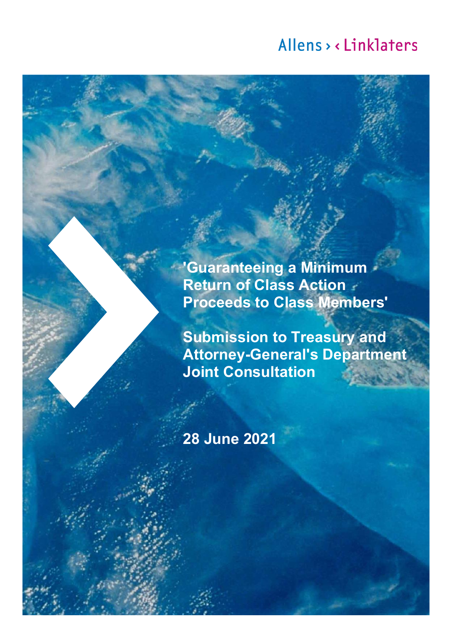**'Guaranteeing a Minimum Return of Class Action Proceeds to Class Members'**

**Submission to Treasury and Attorney-General's Department Joint Consultation**

**28 June 2021**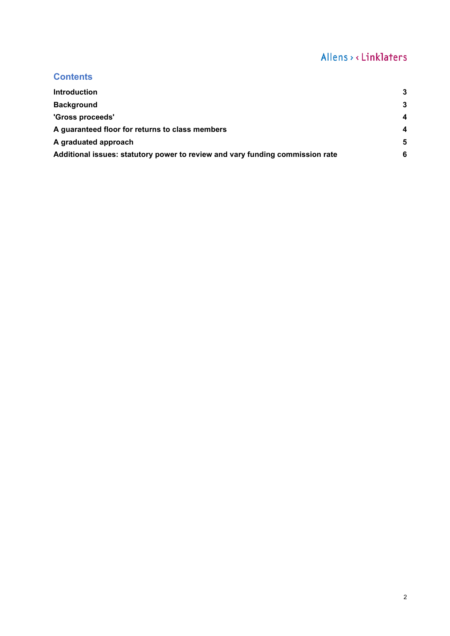## **Contents**

| <b>Introduction</b>                                                           | 3 |
|-------------------------------------------------------------------------------|---|
| <b>Background</b>                                                             | 3 |
| 'Gross proceeds'                                                              | 4 |
| A guaranteed floor for returns to class members                               | 4 |
| A graduated approach                                                          | 5 |
| Additional issues: statutory power to review and vary funding commission rate | 6 |
|                                                                               |   |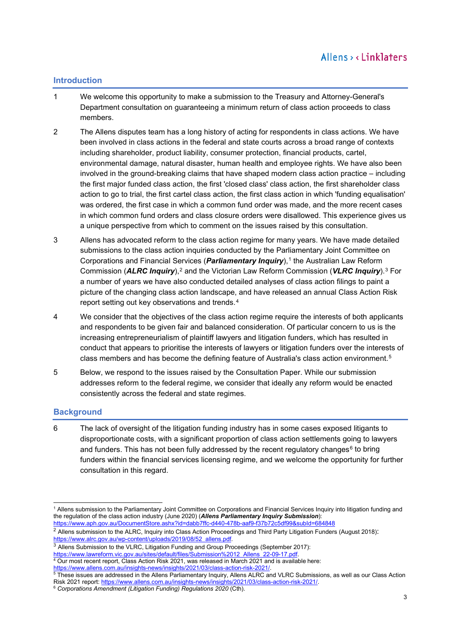## <span id="page-2-0"></span>**Introduction**

- 1 We welcome this opportunity to make a submission to the Treasury and Attorney-General's Department consultation on guaranteeing a minimum return of class action proceeds to class members.
- 2 The Allens disputes team has a long history of acting for respondents in class actions. We have been involved in class actions in the federal and state courts across a broad range of contexts including shareholder, product liability, consumer protection, financial products, cartel, environmental damage, natural disaster, human health and employee rights. We have also been involved in the ground-breaking claims that have shaped modern class action practice – including the first major funded class action, the first 'closed class' class action, the first shareholder class action to go to trial, the first cartel class action, the first class action in which 'funding equalisation' was ordered, the first case in which a common fund order was made, and the more recent cases in which common fund orders and class closure orders were disallowed. This experience gives us a unique perspective from which to comment on the issues raised by this consultation.
- 3 Allens has advocated reform to the class action regime for many years. We have made detailed submissions to the class action inquiries conducted by the Parliamentary Joint Committee on Corporations and Financial Services (*Parliamentary Inquiry*),[1](#page-2-2) the Australian Law Reform Commission (*ALRC Inquiry*),[2](#page-2-3) and the Victorian Law Reform Commission (*VLRC Inquiry*).[3](#page-2-4) For a number of years we have also conducted detailed analyses of class action filings to paint a picture of the changing class action landscape, and have released an annual Class Action Risk report setting out key observations and trends.[4](#page-2-5)
- 4 We consider that the objectives of the class action regime require the interests of both applicants and respondents to be given fair and balanced consideration. Of particular concern to us is the increasing entrepreneurialism of plaintiff lawyers and litigation funders, which has resulted in conduct that appears to prioritise the interests of lawyers or litigation funders over the interests of class members and has become the defining feature of Australia's class action environment.[5](#page-2-6)
- 5 Below, we respond to the issues raised by the Consultation Paper. While our submission addresses reform to the federal regime, we consider that ideally any reform would be enacted consistently across the federal and state regimes.

## <span id="page-2-1"></span>**Background**

6 The lack of oversight of the litigation funding industry has in some cases exposed litigants to disproportionate costs, with a significant proportion of class action settlements going to lawyers and funders. This has not been fully addressed by the recent regulatory changes<sup>[6](#page-2-7)</sup> to bring funders within the financial services licensing regime, and we welcome the opportunity for further consultation in this regard.

<span id="page-2-4"></span><sup>3</sup> Allens Submission to the VLRC, Litigation Funding and Group Proceedings (September 2017):<br>https://www.lawreform.vic.gov.au/sites/default/files/Submission%2012 Allens 22-09-17.pdf.

<span id="page-2-2"></span><sup>1</sup> Allens submission to the Parliamentary Joint Committee on Corporations and Financial Services Inquiry into litigation funding and the regulation of the class action industry (June 2020) (*Allens Parliamentary Inquiry Submission*): <https://www.aph.gov.au/DocumentStore.ashx?id=dabb7ffc-d440-478b-aaf9-f37b72c5df99&subId=684848>

<span id="page-2-3"></span> $2$  Allens submission to the ALRC, Inquiry into Class Action Proceedings and Third Party Litigation Funders (August 2018): [https://www.alrc.gov.au/wp-content/uploads/2019/08/52\\_allens.pdf](https://www.alrc.gov.au/wp-content/uploads/2019/08/52_allens.pdf).

<span id="page-2-5"></span> $4$  Our most recent report, Class Action Risk 2021, was released in March 2021 and is available here: https://www.allens.com.au/insights-news/insights/2021/03/class-action-risk-20

<span id="page-2-6"></span><sup>5</sup> These issues are addressed in the Allens Parliamentary Inquiry, Allens ALRC and VLRC Submissions, as well as our Class Action Risk 2021 report: [https://www.allens.com.au/insights-news/insights/2021/03/class-action-risk-2021/.](https://www.allens.com.au/insights-news/insights/2021/03/class-action-risk-2021/)

<span id="page-2-7"></span><sup>6</sup> *Corporations Amendment (Litigation Funding) Regulations 2020* (Cth).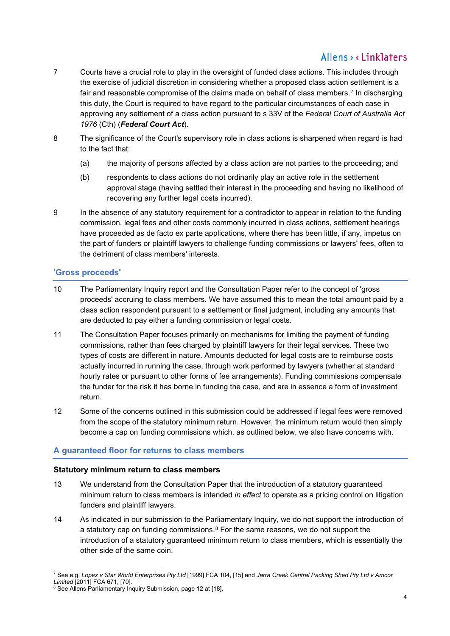- 7 Courts have a crucial role to play in the oversight of funded class actions. This includes through the exercise of judicial discretion in considering whether a proposed class action settlement is a fair and reasonable compromise of the claims made on behalf of class members.<sup>[7](#page-3-2)</sup> In discharging this duty, the Court is required to have regard to the particular circumstances of each case in approving any settlement of a class action pursuant to s 33V of the *Federal Court of Australia Act 1976* (Cth) (*Federal Court Act*).
- 8 The significance of the Court's supervisory role in class actions is sharpened when regard is had to the fact that:
	- (a) the majority of persons affected by a class action are not parties to the proceeding; and
	- (b) respondents to class actions do not ordinarily play an active role in the settlement approval stage (having settled their interest in the proceeding and having no likelihood of recovering any further legal costs incurred).
- 9 In the absence of any statutory requirement for a contradictor to appear in relation to the funding commission, legal fees and other costs commonly incurred in class actions, settlement hearings have proceeded as de facto ex parte applications, where there has been little, if any, impetus on the part of funders or plaintiff lawyers to challenge funding commissions or lawyers' fees, often to the detriment of class members' interests.

## <span id="page-3-0"></span>**'Gross proceeds'**

- 10 The Parliamentary Inquiry report and the Consultation Paper refer to the concept of 'gross proceeds' accruing to class members. We have assumed this to mean the total amount paid by a class action respondent pursuant to a settlement or final judgment, including any amounts that are deducted to pay either a funding commission or legal costs.
- 11 The Consultation Paper focuses primarily on mechanisms for limiting the payment of funding commissions, rather than fees charged by plaintiff lawyers for their legal services. These two types of costs are different in nature. Amounts deducted for legal costs are to reimburse costs actually incurred in running the case, through work performed by lawyers (whether at standard hourly rates or pursuant to other forms of fee arrangements). Funding commissions compensate the funder for the risk it has borne in funding the case, and are in essence a form of investment return.
- 12 Some of the concerns outlined in this submission could be addressed if legal fees were removed from the scope of the statutory minimum return. However, the minimum return would then simply become a cap on funding commissions which, as outlined below, we also have concerns with.

## <span id="page-3-1"></span>**A guaranteed floor for returns to class members**

#### **Statutory minimum return to class members**

- 13 We understand from the Consultation Paper that the introduction of a statutory guaranteed minimum return to class members is intended *in effect* to operate as a pricing control on litigation funders and plaintiff lawyers.
- 14 As indicated in our submission to the Parliamentary Inquiry, we do not support the introduction of a statutory cap on funding commissions. $8$  For the same reasons, we do not support the introduction of a statutory guaranteed minimum return to class members, which is essentially the other side of the same coin.

<span id="page-3-2"></span><sup>7</sup> See e.g. *Lopez v Star World Enterprises Pty Ltd* [1999] FCA 104, [15] and *Jarra Creek Central Packing Shed Pty Ltd v Amcor* 

*Limited* [2011] FCA 671, [70].

<span id="page-3-3"></span><sup>&</sup>lt;sup>8</sup> See Allens Parliamentary Inquiry Submission, page 12 at [18].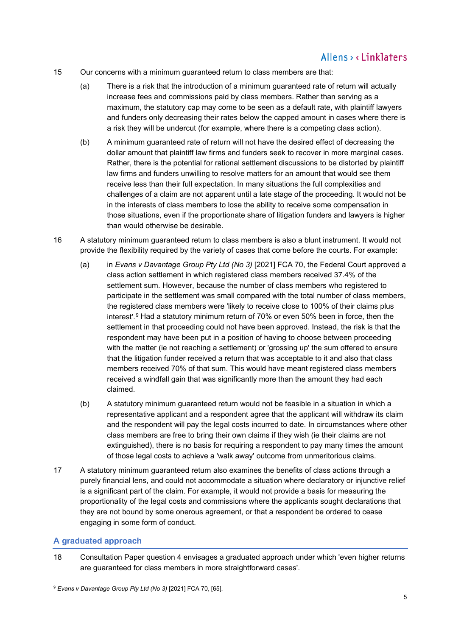- <span id="page-4-2"></span>15 Our concerns with a minimum guaranteed return to class members are that:
	- (a) There is a risk that the introduction of a minimum guaranteed rate of return will actually increase fees and commissions paid by class members. Rather than serving as a maximum, the statutory cap may come to be seen as a default rate, with plaintiff lawyers and funders only decreasing their rates below the capped amount in cases where there is a risk they will be undercut (for example, where there is a competing class action).
	- (b) A minimum guaranteed rate of return will not have the desired effect of decreasing the dollar amount that plaintiff law firms and funders seek to recover in more marginal cases. Rather, there is the potential for rational settlement discussions to be distorted by plaintiff law firms and funders unwilling to resolve matters for an amount that would see them receive less than their full expectation. In many situations the full complexities and challenges of a claim are not apparent until a late stage of the proceeding. It would not be in the interests of class members to lose the ability to receive some compensation in those situations, even if the proportionate share of litigation funders and lawyers is higher than would otherwise be desirable.
- <span id="page-4-3"></span>16 A statutory minimum guaranteed return to class members is also a blunt instrument. It would not provide the flexibility required by the variety of cases that come before the courts. For example:
	- (a) in *Evans v Davantage Group Pty Ltd (No 3)* [2021] FCA 70, the Federal Court approved a class action settlement in which registered class members received 37.4% of the settlement sum. However, because the number of class members who registered to participate in the settlement was small compared with the total number of class members, the registered class members were 'likely to receive close to 100% of their claims plus interest'.[9](#page-4-1) Had a statutory minimum return of 70% or even 50% been in force, then the settlement in that proceeding could not have been approved. Instead, the risk is that the respondent may have been put in a position of having to choose between proceeding with the matter (ie not reaching a settlement) or 'grossing up' the sum offered to ensure that the litigation funder received a return that was acceptable to it and also that class members received 70% of that sum. This would have meant registered class members received a windfall gain that was significantly more than the amount they had each claimed.
	- (b) A statutory minimum guaranteed return would not be feasible in a situation in which a representative applicant and a respondent agree that the applicant will withdraw its claim and the respondent will pay the legal costs incurred to date. In circumstances where other class members are free to bring their own claims if they wish (ie their claims are not extinguished), there is no basis for requiring a respondent to pay many times the amount of those legal costs to achieve a 'walk away' outcome from unmeritorious claims.
- 17 A statutory minimum guaranteed return also examines the benefits of class actions through a purely financial lens, and could not accommodate a situation where declaratory or injunctive relief is a significant part of the claim. For example, it would not provide a basis for measuring the proportionality of the legal costs and commissions where the applicants sought declarations that they are not bound by some onerous agreement, or that a respondent be ordered to cease engaging in some form of conduct.

## <span id="page-4-0"></span>**A graduated approach**

18 Consultation Paper question 4 envisages a graduated approach under which 'even higher returns are guaranteed for class members in more straightforward cases'.

<span id="page-4-1"></span><sup>9</sup> *Evans v Davantage Group Pty Ltd (No 3)* [2021] FCA 70, [65].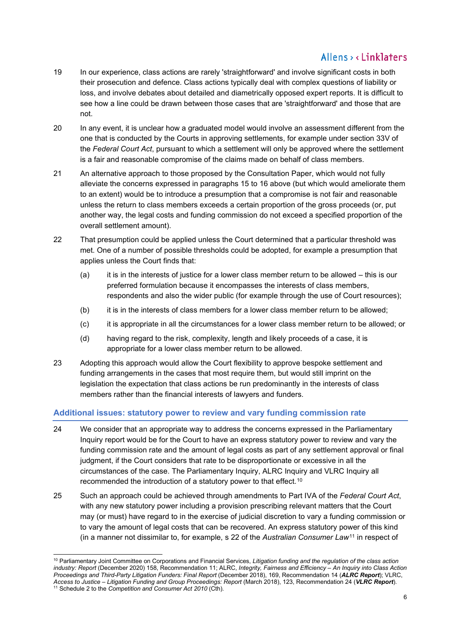- 19 In our experience, class actions are rarely 'straightforward' and involve significant costs in both their prosecution and defence. Class actions typically deal with complex questions of liability or loss, and involve debates about detailed and diametrically opposed expert reports. It is difficult to see how a line could be drawn between those cases that are 'straightforward' and those that are not.
- 20 In any event, it is unclear how a graduated model would involve an assessment different from the one that is conducted by the Courts in approving settlements, for example under section 33V of the *Federal Court Act*, pursuant to which a settlement will only be approved where the settlement is a fair and reasonable compromise of the claims made on behalf of class members.
- 21 An alternative approach to those proposed by the Consultation Paper, which would not fully alleviate the concerns expressed in paragraphs [15](#page-4-2) to [16 above](#page-4-3) (but which would ameliorate them to an extent) would be to introduce a presumption that a compromise is not fair and reasonable unless the return to class members exceeds a certain proportion of the gross proceeds (or, put another way, the legal costs and funding commission do not exceed a specified proportion of the overall settlement amount).
- 22 That presumption could be applied unless the Court determined that a particular threshold was met. One of a number of possible thresholds could be adopted, for example a presumption that applies unless the Court finds that:
	- (a) it is in the interests of justice for a lower class member return to be allowed this is our preferred formulation because it encompasses the interests of class members, respondents and also the wider public (for example through the use of Court resources);
	- (b) it is in the interests of class members for a lower class member return to be allowed;
	- (c) it is appropriate in all the circumstances for a lower class member return to be allowed; or
	- (d) having regard to the risk, complexity, length and likely proceeds of a case, it is appropriate for a lower class member return to be allowed.
- 23 Adopting this approach would allow the Court flexibility to approve bespoke settlement and funding arrangements in the cases that most require them, but would still imprint on the legislation the expectation that class actions be run predominantly in the interests of class members rather than the financial interests of lawyers and funders.

## <span id="page-5-0"></span>**Additional issues: statutory power to review and vary funding commission rate**

- 24 We consider that an appropriate way to address the concerns expressed in the Parliamentary Inquiry report would be for the Court to have an express statutory power to review and vary the funding commission rate and the amount of legal costs as part of any settlement approval or final judgment, if the Court considers that rate to be disproportionate or excessive in all the circumstances of the case. The Parliamentary Inquiry, ALRC Inquiry and VLRC Inquiry all recommended the introduction of a statutory power to that effect.<sup>[10](#page-5-1)</sup>
- 25 Such an approach could be achieved through amendments to Part IVA of the *Federal Court Act*, with any new statutory power including a provision prescribing relevant matters that the Court may (or must) have regard to in the exercise of judicial discretion to vary a funding commission or to vary the amount of legal costs that can be recovered. An express statutory power of this kind (in a manner not dissimilar to, for example, s 22 of the *Australian Consumer Law*[11](#page-5-2) in respect of

<span id="page-5-1"></span><sup>10</sup> Parliamentary Joint Committee on Corporations and Financial Services, *Litigation funding and the regulation of the class action industry: Report* (December 2020) 158, Recommendation 11; ALRC, *Integrity, Fairness and Efficiency – An Inquiry into Class Action Proceedings and Third-Party Litigation Funders: Final Report* (December 2018), 169, Recommendation 14 (*ALRC Report*); VLRC, *Access to Justice – Litigation Funding and Group Proceedings: Report* (March 2018), 123, Recommendation 24 (*VLRC Report*).

<span id="page-5-2"></span><sup>11</sup> Schedule 2 to the *Competition and Consumer Act 2010* (Cth).